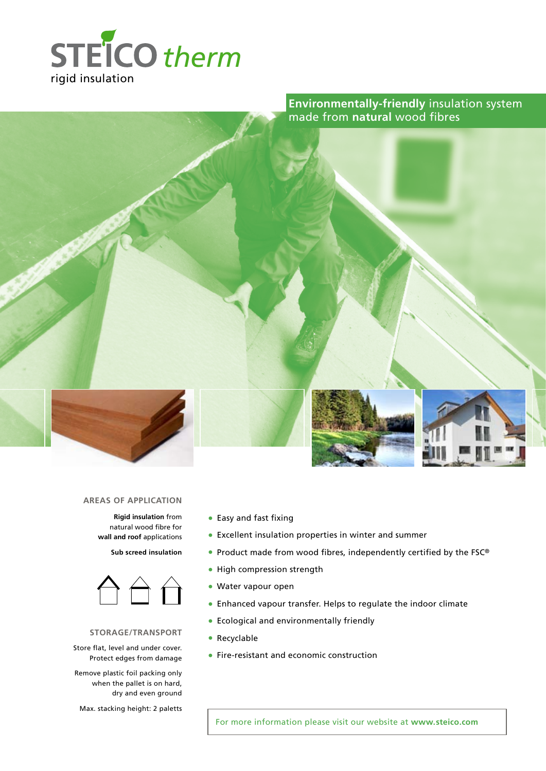

**Environmentally-friendly** insulation system made from **natural** wood fibres



#### **AREAS of application**

**Rigid insulation** from natural wood fibre for **wall and roof** applications

**Sub screed insulation**



### **storage/transport**

Store flat, level and under cover. Protect edges from damage

Remove plastic foil packing only when the pallet is on hard, dry and even ground

Max. stacking height: 2 paletts

- Easy and fast fixing
- Excellent insulation properties in winter and summer
- Product made from wood fibres, independently certified by the FSC®
- High compression strength
- Water vapour open
- Enhanced vapour transfer. Helps to regulate the indoor climate
- Ecological and environmentally friendly
- Recyclable
- Fire-resistant and economic construction

For more information please visit our website at **www.steico.com**